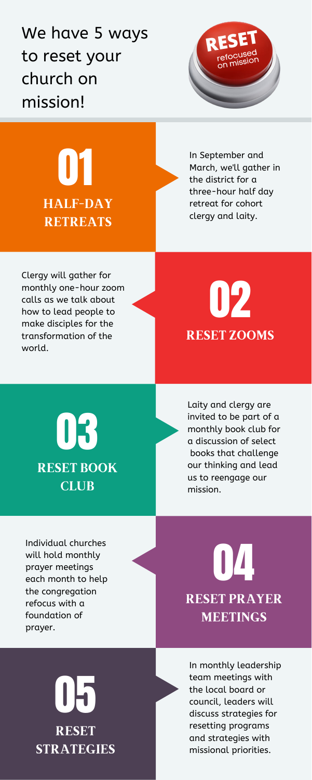In September and March, we'll gather in the district for a three-hour half day retreat for cohort clergy and laity.

Clergy will gather for monthly one-hour zoom calls as we talk about how to lead people to make disciples for the transformation of the world.

> Laity and clergy are invited to be part of a monthly book club for a discussion of select books that challenge our thinking and lead us to reengage our mission.

01 **HALF-DAY RETREATS**

# 02 **RESET ZOOMS**



## 04 **RESET PRAYER MEETINGS**

## 05 **RESET STRATEGIES**

We have 5 ways to reset your church on mission!



Individual churches will hold monthly prayer meetings each month to help the congregation refocus with a foundation of prayer.

> In monthly leadership team meetings with the local board or council, leaders will discuss strategies for resetting programs and strategies with missional priorities.

#### **CLUB**